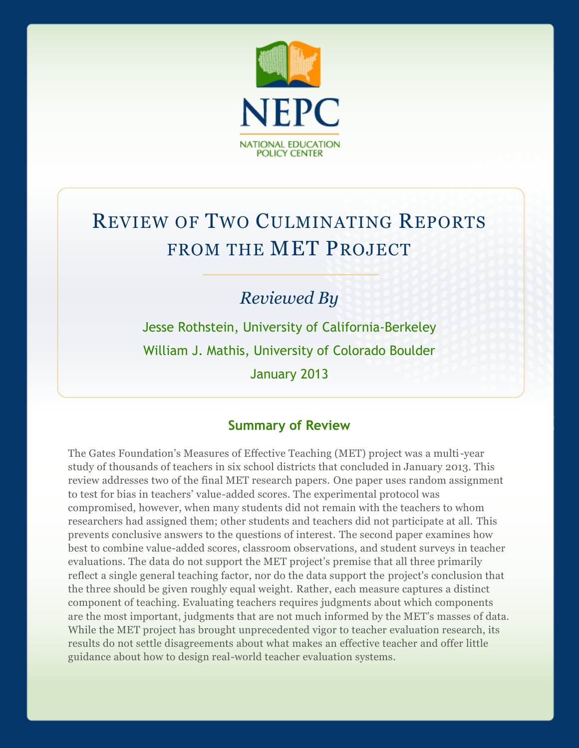

# REVIEW OF TWO CULMINATING REPORTS FROM THE MET PROJECT

# *Reviewed By*

Jesse Rothstein, University of California-Berkeley William J. Mathis, University of Colorado Boulder January 2013

### **Summary of Review**

The Gates Foundation's Measures of Effective Teaching (MET) project was a multi-year study of thousands of teachers in six school districts that concluded in January 2013. This review addresses two of the final MET research papers. One paper uses random assignment to test for bias in teachers' value-added scores. The experimental protocol was compromised, however, when many students did not remain with the teachers to whom researchers had assigned them; other students and teachers did not participate at all. This prevents conclusive answers to the questions of interest. The second paper examines how best to combine value-added scores, classroom observations, and student surveys in teacher evaluations. The data do not support the MET project's premise that all three primarily reflect a single general teaching factor, nor do the data support the project's conclusion that the three should be given roughly equal weight. Rather, each measure captures a distinct component of teaching. Evaluating teachers requires judgments about which components are the most important, judgments that are not much informed by the MET's masses of data. While the MET project has brought unprecedented vigor to teacher evaluation research, its results do not settle disagreements about what makes an effective teacher and offer little guidance about how to design real-world teacher evaluation systems.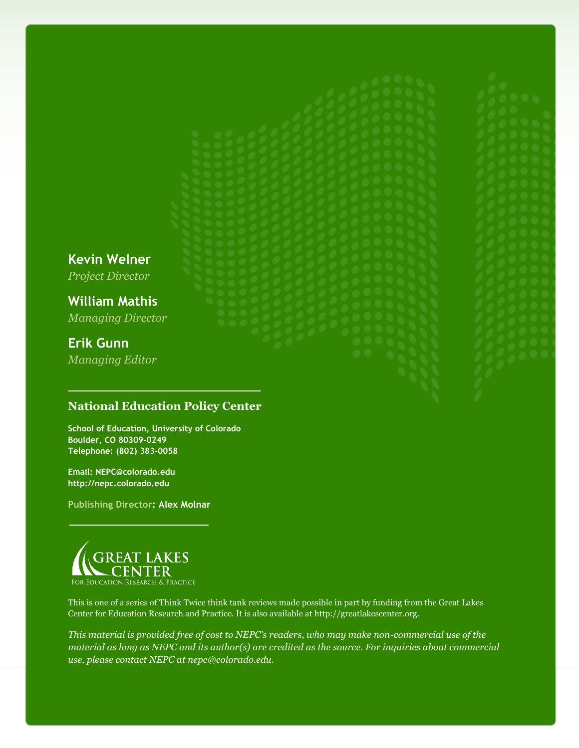**Kevin Welner**

*Project Director*

**William Mathis** *Managing Director*

# **Erik Gunn**

*Managing Editor*

### **National Education Policy Center**

**School of Education, University of Colorado Boulder, CO 80309-0249 Telephone: (802) 383-0058**

**Email: NEPC@colorado.edu http://nepc.colorado.edu**

**Publishing Director: Alex Molnar**



This is one of a series of Think Twice think tank reviews made possible in part by funding from the Great Lakes Center for Education Research and Practice. It is also available at http://greatlakescenter.org.

*This material is provided free of cost to NEPC's readers, who may make non-commercial use of the material as long as NEPC and its author(s) are credited as the source. For inquiries about commercial use, please contact NEPC at nepc@colorado.edu.*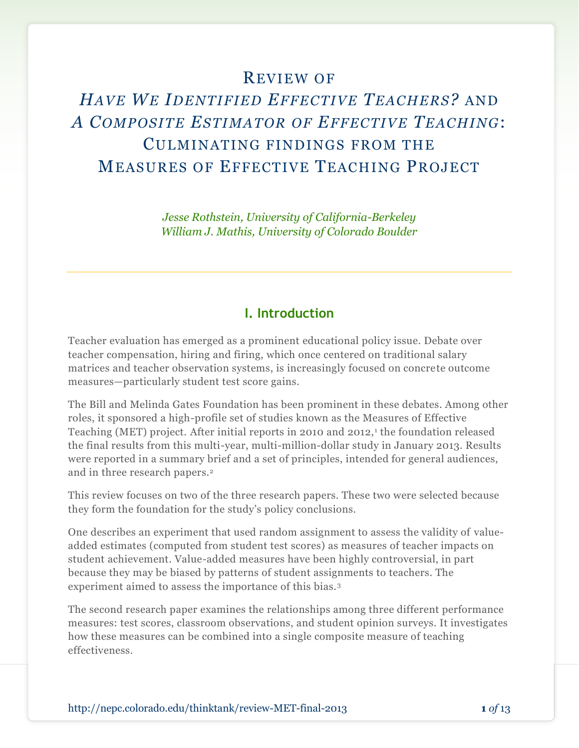## REVIEW OF

# *HAVE WE IDENTIFIED EFFECTIVE TEACHERS?* AND *A COMPOSITE ESTIMATOR OF EFFECTIVE TEACHING*: CULMINATING FINDINGS FROM THE MEASURES OF EFFECTIVE TEACHING PROJECT

*Jesse Rothstein, University of California-Berkeley William J. Mathis, University of Colorado Boulder*

#### **I. Introduction**

Teacher evaluation has emerged as a prominent educational policy issue. Debate over teacher compensation, hiring and firing, which once centered on traditional salary matrices and teacher observation systems, is increasingly focused on concrete outcome measures—particularly student test score gains.

The Bill and Melinda Gates Foundation has been prominent in these debates. Among other roles, it sponsored a high-profile set of studies known as the Measures of Effective Teaching (MET) project. After initial reports in 2010 and 2012,<sup>1</sup> the foundation released the final results from this multi-year, multi-million-dollar study in January 2013. Results were reported in a summary brief and a set of principles, intended for general audiences, and in three research papers.<sup>2</sup>

This review focuses on two of the three research papers. These two were selected because they form the foundation for the study's policy conclusions.

One describes an experiment that used random assignment to assess the validity of valueadded estimates (computed from student test scores) as measures of teacher impacts on student achievement. Value-added measures have been highly controversial, in part because they may be biased by patterns of student assignments to teachers. The experiment aimed to assess the importance of this bias.<sup>3</sup>

The second research paper examines the relationships among three different performance measures: test scores, classroom observations, and student opinion surveys. It investigates how these measures can be combined into a single composite measure of teaching effectiveness.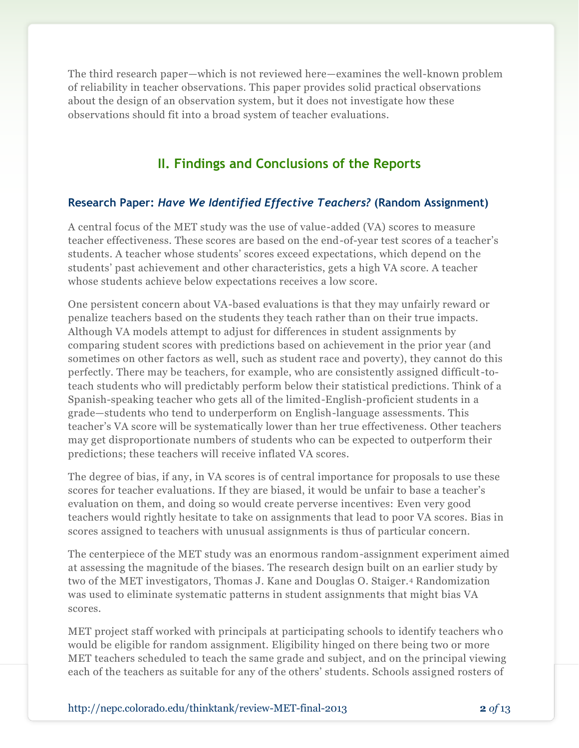The third research paper—which is not reviewed here—examines the well-known problem of reliability in teacher observations. This paper provides solid practical observations about the design of an observation system, but it does not investigate how these observations should fit into a broad system of teacher evaluations.

## **II. Findings and Conclusions of the Reports**

#### **Research Paper:** *Have We Identified Effective Teachers?* **(Random Assignment)**

A central focus of the MET study was the use of value-added (VA) scores to measure teacher effectiveness. These scores are based on the end-of-year test scores of a teacher's students. A teacher whose students' scores exceed expectations, which depend on the students' past achievement and other characteristics, gets a high VA score. A teacher whose students achieve below expectations receives a low score.

One persistent concern about VA-based evaluations is that they may unfairly reward or penalize teachers based on the students they teach rather than on their true impacts. Although VA models attempt to adjust for differences in student assignments by comparing student scores with predictions based on achievement in the prior year (and sometimes on other factors as well, such as student race and poverty), they cannot do this perfectly. There may be teachers, for example, who are consistently assigned difficult-toteach students who will predictably perform below their statistical predictions. Think of a Spanish-speaking teacher who gets all of the limited-English-proficient students in a grade—students who tend to underperform on English-language assessments. This teacher's VA score will be systematically lower than her true effectiveness. Other teachers may get disproportionate numbers of students who can be expected to outperform their predictions; these teachers will receive inflated VA scores.

The degree of bias, if any, in VA scores is of central importance for proposals to use these scores for teacher evaluations. If they are biased, it would be unfair to base a teacher's evaluation on them, and doing so would create perverse incentives: Even very good teachers would rightly hesitate to take on assignments that lead to poor VA scores. Bias in scores assigned to teachers with unusual assignments is thus of particular concern.

The centerpiece of the MET study was an enormous random-assignment experiment aimed at assessing the magnitude of the biases. The research design built on an earlier study by two of the MET investigators, Thomas J. Kane and Douglas O. Staiger.<sup>4</sup> Randomization was used to eliminate systematic patterns in student assignments that might bias VA scores.

MET project staff worked with principals at participating schools to identify teachers who would be eligible for random assignment. Eligibility hinged on there being two or more MET teachers scheduled to teach the same grade and subject, and on the principal viewing each of the teachers as suitable for any of the others' students. Schools assigned rosters of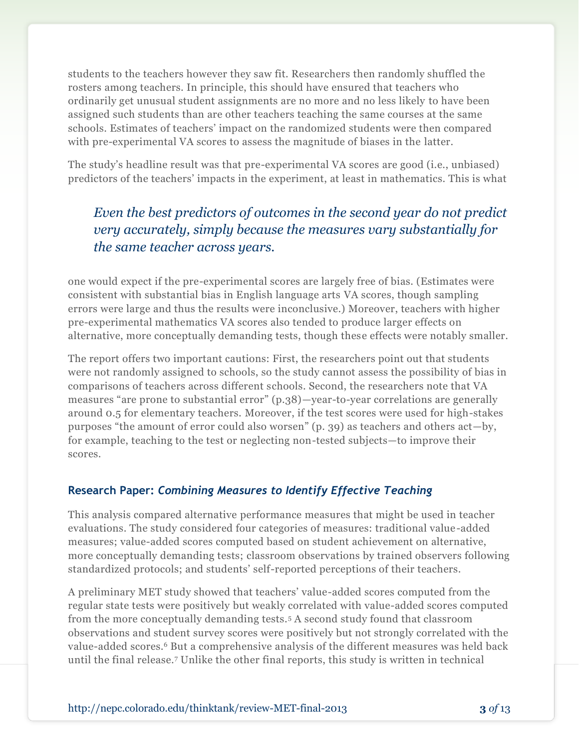students to the teachers however they saw fit. Researchers then randomly shuffled the rosters among teachers. In principle, this should have ensured that teachers who ordinarily get unusual student assignments are no more and no less likely to have been assigned such students than are other teachers teaching the same courses at the same schools. Estimates of teachers' impact on the randomized students were then compared with pre-experimental VA scores to assess the magnitude of biases in the latter.

The study's headline result was that pre-experimental VA scores are good (i.e., unbiased) predictors of the teachers' impacts in the experiment, at least in mathematics. This is what

# *Even the best predictors of outcomes in the second year do not predict very accurately, simply because the measures vary substantially for the same teacher across years.*

one would expect if the pre-experimental scores are largely free of bias. (Estimates were consistent with substantial bias in English language arts VA scores, though sampling errors were large and thus the results were inconclusive.) Moreover, teachers with higher pre-experimental mathematics VA scores also tended to produce larger effects on alternative, more conceptually demanding tests, though these effects were notably smaller.

The report offers two important cautions: First, the researchers point out that students were not randomly assigned to schools, so the study cannot assess the possibility of bias in comparisons of teachers across different schools. Second, the researchers note that VA measures "are prone to substantial error" (p.38)—year-to-year correlations are generally around 0.5 for elementary teachers. Moreover, if the test scores were used for high-stakes purposes "the amount of error could also worsen" (p. 39) as teachers and others act—by, for example, teaching to the test or neglecting non-tested subjects—to improve their scores.

#### **Research Paper:** *Combining Measures to Identify Effective Teaching*

This analysis compared alternative performance measures that might be used in teacher evaluations. The study considered four categories of measures: traditional value-added measures; value-added scores computed based on student achievement on alternative, more conceptually demanding tests; classroom observations by trained observers following standardized protocols; and students' self-reported perceptions of their teachers.

A preliminary MET study showed that teachers' value-added scores computed from the regular state tests were positively but weakly correlated with value-added scores computed from the more conceptually demanding tests.<sup>5</sup> A second study found that classroom observations and student survey scores were positively but not strongly correlated with the value-added scores.<sup>6</sup> But a comprehensive analysis of the different measures was held back until the final release.<sup>7</sup> Unlike the other final reports, this study is written in technical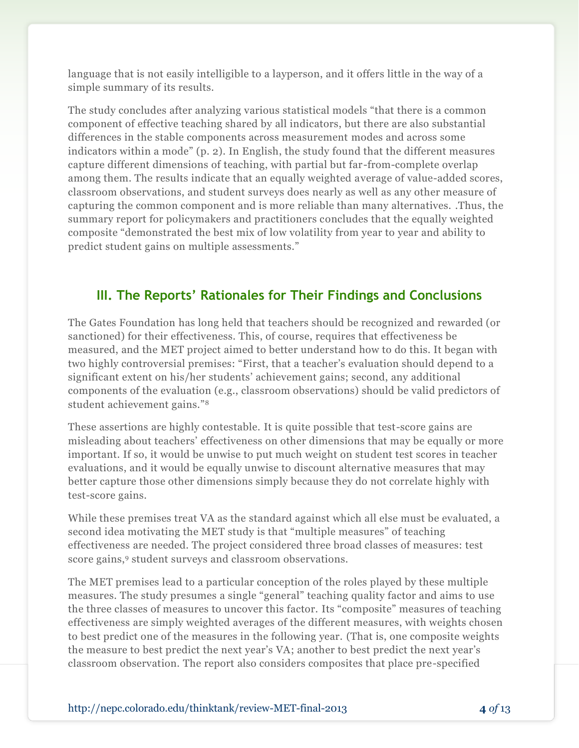language that is not easily intelligible to a layperson, and it offers little in the way of a simple summary of its results.

The study concludes after analyzing various statistical models "that there is a common component of effective teaching shared by all indicators, but there are also substantial differences in the stable components across measurement modes and across some indicators within a mode" (p. 2). In English, the study found that the different measures capture different dimensions of teaching, with partial but far-from-complete overlap among them. The results indicate that an equally weighted average of value-added scores, classroom observations, and student surveys does nearly as well as any other measure of capturing the common component and is more reliable than many alternatives. .Thus, the summary report for policymakers and practitioners concludes that the equally weighted composite "demonstrated the best mix of low volatility from year to year and ability to predict student gains on multiple assessments."

#### **III. The Reports' Rationales for Their Findings and Conclusions**

The Gates Foundation has long held that teachers should be recognized and rewarded (or sanctioned) for their effectiveness. This, of course, requires that effectiveness be measured, and the MET project aimed to better understand how to do this. It began with two highly controversial premises: "First, that a teacher's evaluation should depend to a significant extent on his/her students' achievement gains; second, any additional components of the evaluation (e.g., classroom observations) should be valid predictors of student achievement gains."<sup>8</sup>

These assertions are highly contestable. It is quite possible that test-score gains are misleading about teachers' effectiveness on other dimensions that may be equally or more important. If so, it would be unwise to put much weight on student test scores in teacher evaluations, and it would be equally unwise to discount alternative measures that may better capture those other dimensions simply because they do not correlate highly with test-score gains.

While these premises treat VA as the standard against which all else must be evaluated, a second idea motivating the MET study is that "multiple measures" of teaching effectiveness are needed. The project considered three broad classes of measures: test score gains,<sup>9</sup> student surveys and classroom observations.

The MET premises lead to a particular conception of the roles played by these multiple measures. The study presumes a single "general" teaching quality factor and aims to use the three classes of measures to uncover this factor. Its "composite" measures of teaching effectiveness are simply weighted averages of the different measures, with weights chosen to best predict one of the measures in the following year. (That is, one composite weights the measure to best predict the next year's VA; another to best predict the next year's classroom observation. The report also considers composites that place pre-specified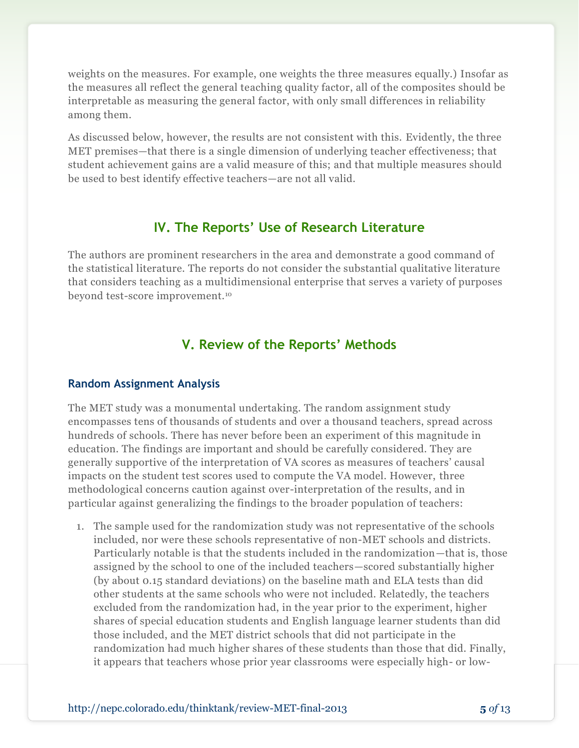weights on the measures. For example, one weights the three measures equally.) Insofar as the measures all reflect the general teaching quality factor, all of the composites should be interpretable as measuring the general factor, with only small differences in reliability among them.

As discussed below, however, the results are not consistent with this. Evidently, the three MET premises—that there is a single dimension of underlying teacher effectiveness; that student achievement gains are a valid measure of this; and that multiple measures should be used to best identify effective teachers—are not all valid.

#### **IV. The Reports' Use of Research Literature**

The authors are prominent researchers in the area and demonstrate a good command of the statistical literature. The reports do not consider the substantial qualitative literature that considers teaching as a multidimensional enterprise that serves a variety of purposes beyond test-score improvement.<sup>10</sup>

#### **V. Review of the Reports' Methods**

#### **Random Assignment Analysis**

The MET study was a monumental undertaking. The random assignment study encompasses tens of thousands of students and over a thousand teachers, spread across hundreds of schools. There has never before been an experiment of this magnitude in education. The findings are important and should be carefully considered. They are generally supportive of the interpretation of VA scores as measures of teachers' causal impacts on the student test scores used to compute the VA model. However, three methodological concerns caution against over-interpretation of the results, and in particular against generalizing the findings to the broader population of teachers:

1. The sample used for the randomization study was not representative of the schools included, nor were these schools representative of non-MET schools and districts. Particularly notable is that the students included in the randomization—that is, those assigned by the school to one of the included teachers—scored substantially higher (by about 0.15 standard deviations) on the baseline math and ELA tests than did other students at the same schools who were not included. Relatedly, the teachers excluded from the randomization had, in the year prior to the experiment, higher shares of special education students and English language learner students than did those included, and the MET district schools that did not participate in the randomization had much higher shares of these students than those that did. Finally, it appears that teachers whose prior year classrooms were especially high- or low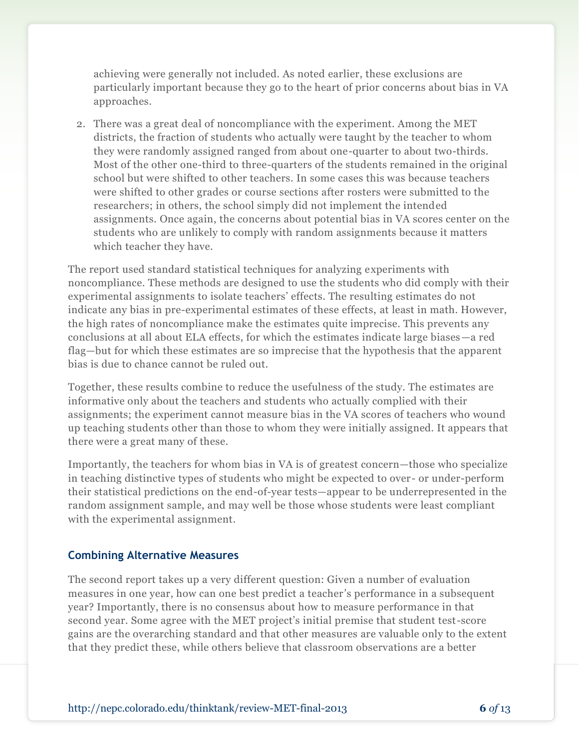achieving were generally not included. As noted earlier, these exclusions are particularly important because they go to the heart of prior concerns about bias in VA approaches.

2. There was a great deal of noncompliance with the experiment. Among the MET districts, the fraction of students who actually were taught by the teacher to whom they were randomly assigned ranged from about one-quarter to about two-thirds. Most of the other one-third to three-quarters of the students remained in the original school but were shifted to other teachers. In some cases this was because teachers were shifted to other grades or course sections after rosters were submitted to the researchers; in others, the school simply did not implement the intended assignments. Once again, the concerns about potential bias in VA scores center on the students who are unlikely to comply with random assignments because it matters which teacher they have.

The report used standard statistical techniques for analyzing experiments with noncompliance. These methods are designed to use the students who did comply with their experimental assignments to isolate teachers' effects. The resulting estimates do not indicate any bias in pre-experimental estimates of these effects, at least in math. However, the high rates of noncompliance make the estimates quite imprecise. This prevents any conclusions at all about ELA effects, for which the estimates indicate large biases—a red flag—but for which these estimates are so imprecise that the hypothesis that the apparent bias is due to chance cannot be ruled out.

Together, these results combine to reduce the usefulness of the study. The estimates are informative only about the teachers and students who actually complied with their assignments; the experiment cannot measure bias in the VA scores of teachers who wound up teaching students other than those to whom they were initially assigned. It appears that there were a great many of these.

Importantly, the teachers for whom bias in VA is of greatest concern—those who specialize in teaching distinctive types of students who might be expected to over- or under-perform their statistical predictions on the end-of-year tests—appear to be underrepresented in the random assignment sample, and may well be those whose students were least compliant with the experimental assignment.

#### **Combining Alternative Measures**

The second report takes up a very different question: Given a number of evaluation measures in one year, how can one best predict a teacher's performance in a subsequent year? Importantly, there is no consensus about how to measure performance in that second year. Some agree with the MET project's initial premise that student test-score gains are the overarching standard and that other measures are valuable only to the extent that they predict these, while others believe that classroom observations are a better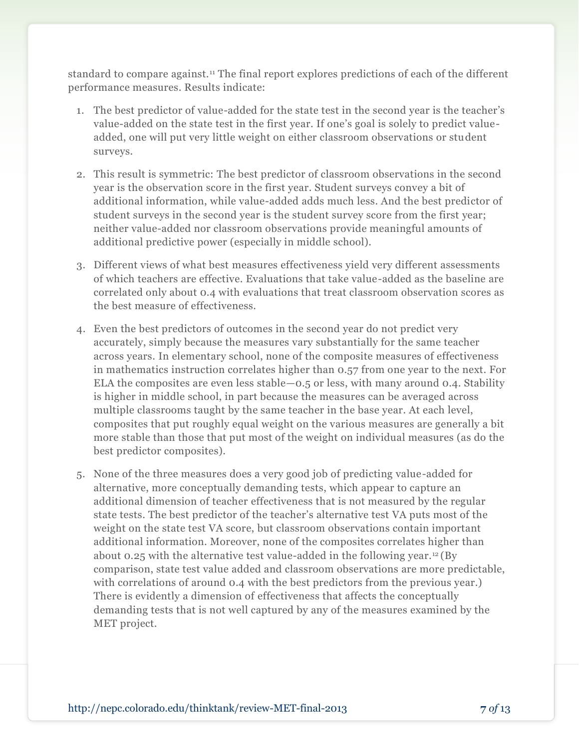standard to compare against.<sup>11</sup> The final report explores predictions of each of the different performance measures. Results indicate:

- 1. The best predictor of value-added for the state test in the second year is the teacher's value-added on the state test in the first year. If one's goal is solely to predict valueadded, one will put very little weight on either classroom observations or student surveys.
- 2. This result is symmetric: The best predictor of classroom observations in the second year is the observation score in the first year. Student surveys convey a bit of additional information, while value-added adds much less. And the best predictor of student surveys in the second year is the student survey score from the first year; neither value-added nor classroom observations provide meaningful amounts of additional predictive power (especially in middle school).
- 3. Different views of what best measures effectiveness yield very different assessments of which teachers are effective. Evaluations that take value-added as the baseline are correlated only about 0.4 with evaluations that treat classroom observation scores as the best measure of effectiveness.
- 4. Even the best predictors of outcomes in the second year do not predict very accurately, simply because the measures vary substantially for the same teacher across years. In elementary school, none of the composite measures of effectiveness in mathematics instruction correlates higher than 0.57 from one year to the next. For ELA the composites are even less stable—0.5 or less, with many around 0.4. Stability is higher in middle school, in part because the measures can be averaged across multiple classrooms taught by the same teacher in the base year. At each level, composites that put roughly equal weight on the various measures are generally a bit more stable than those that put most of the weight on individual measures (as do the best predictor composites).
- 5. None of the three measures does a very good job of predicting value-added for alternative, more conceptually demanding tests, which appear to capture an additional dimension of teacher effectiveness that is not measured by the regular state tests. The best predictor of the teacher's alternative test VA puts most of the weight on the state test VA score, but classroom observations contain important additional information. Moreover, none of the composites correlates higher than about 0.25 with the alternative test value-added in the following year.<sup>12</sup> (By comparison, state test value added and classroom observations are more predictable, with correlations of around 0.4 with the best predictors from the previous year.) There is evidently a dimension of effectiveness that affects the conceptually demanding tests that is not well captured by any of the measures examined by the MET project.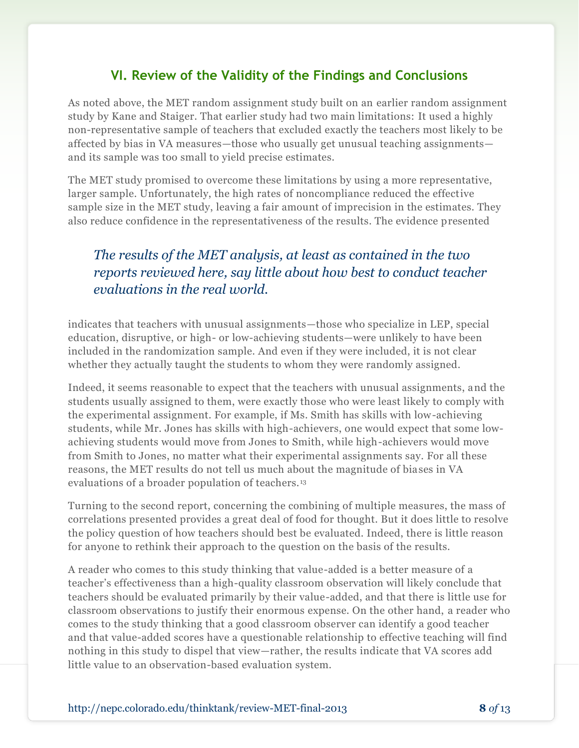### **VI. Review of the Validity of the Findings and Conclusions**

As noted above, the MET random assignment study built on an earlier random assignment study by Kane and Staiger. That earlier study had two main limitations: It used a highly non-representative sample of teachers that excluded exactly the teachers most likely to be affected by bias in VA measures—those who usually get unusual teaching assignments and its sample was too small to yield precise estimates.

The MET study promised to overcome these limitations by using a more representative, larger sample. Unfortunately, the high rates of noncompliance reduced the effective sample size in the MET study, leaving a fair amount of imprecision in the estimates. They also reduce confidence in the representativeness of the results. The evidence presented

# *The results of the MET analysis, at least as contained in the two reports reviewed here, say little about how best to conduct teacher evaluations in the real world.*

indicates that teachers with unusual assignments—those who specialize in LEP, special education, disruptive, or high- or low-achieving students—were unlikely to have been included in the randomization sample. And even if they were included, it is not clear whether they actually taught the students to whom they were randomly assigned.

Indeed, it seems reasonable to expect that the teachers with unusual assignments, and the students usually assigned to them, were exactly those who were least likely to comply with the experimental assignment. For example, if Ms. Smith has skills with low-achieving students, while Mr. Jones has skills with high-achievers, one would expect that some lowachieving students would move from Jones to Smith, while high-achievers would move from Smith to Jones, no matter what their experimental assignments say. For all these reasons, the MET results do not tell us much about the magnitude of biases in VA evaluations of a broader population of teachers.<sup>13</sup>

Turning to the second report, concerning the combining of multiple measures, the mass of correlations presented provides a great deal of food for thought. But it does little to resolve the policy question of how teachers should best be evaluated. Indeed, there is little reason for anyone to rethink their approach to the question on the basis of the results.

A reader who comes to this study thinking that value-added is a better measure of a teacher's effectiveness than a high-quality classroom observation will likely conclude that teachers should be evaluated primarily by their value-added, and that there is little use for classroom observations to justify their enormous expense. On the other hand, a reader who comes to the study thinking that a good classroom observer can identify a good teacher and that value-added scores have a questionable relationship to effective teaching will find nothing in this study to dispel that view—rather, the results indicate that VA scores add little value to an observation-based evaluation system.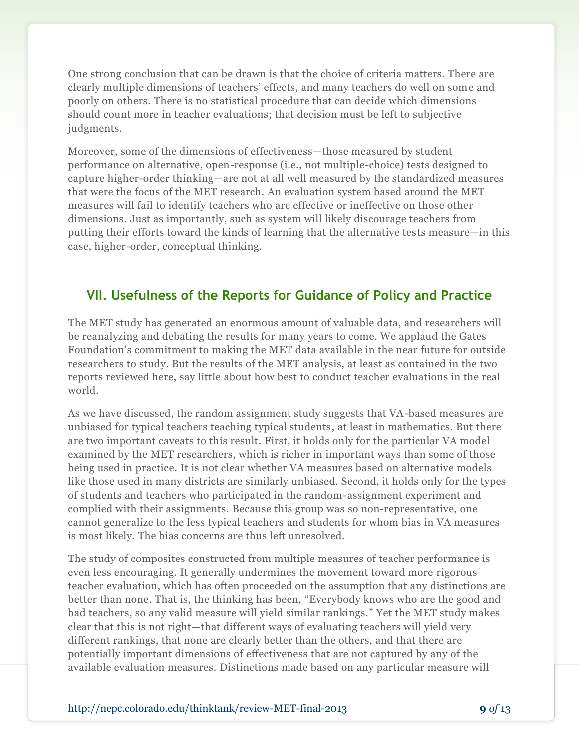One strong conclusion that can be drawn is that the choice of criteria matters. There are clearly multiple dimensions of teachers' effects, and many teachers do well on some and poorly on others. There is no statistical procedure that can decide which dimensions should count more in teacher evaluations; that decision must be left to subjective judgments.

Moreover, some of the dimensions of effectiveness—those measured by student performance on alternative, open-response (i.e., not multiple-choice) tests designed to capture higher-order thinking—are not at all well measured by the standardized measures that were the focus of the MET research. An evaluation system based around the MET measures will fail to identify teachers who are effective or ineffective on those other dimensions. Just as importantly, such as system will likely discourage teachers from putting their efforts toward the kinds of learning that the alternative tests measure—in this case, higher-order, conceptual thinking.

### **VII. Usefulness of the Reports for Guidance of Policy and Practice**

The MET study has generated an enormous amount of valuable data, and researchers will be reanalyzing and debating the results for many years to come. We applaud the Gates Foundation's commitment to making the MET data available in the near future for outside researchers to study. But the results of the MET analysis, at least as contained in the two reports reviewed here, say little about how best to conduct teacher evaluations in the real world.

As we have discussed, the random assignment study suggests that VA-based measures are unbiased for typical teachers teaching typical students, at least in mathematics. But there are two important caveats to this result. First, it holds only for the particular VA model examined by the MET researchers, which is richer in important ways than some of those being used in practice. It is not clear whether VA measures based on alternative models like those used in many districts are similarly unbiased. Second, it holds only for the types of students and teachers who participated in the random-assignment experiment and complied with their assignments. Because this group was so non-representative, one cannot generalize to the less typical teachers and students for whom bias in VA measures is most likely. The bias concerns are thus left unresolved.

The study of composites constructed from multiple measures of teacher performance is even less encouraging. It generally undermines the movement toward more rigorous teacher evaluation, which has often proceeded on the assumption that any distinctions are better than none. That is, the thinking has been, "Everybody knows who are the good and bad teachers, so any valid measure will yield similar rankings." Yet the MET study makes clear that this is not right—that different ways of evaluating teachers will yield very different rankings, that none are clearly better than the others, and that there are potentially important dimensions of effectiveness that are not captured by any of the available evaluation measures. Distinctions made based on any particular measure will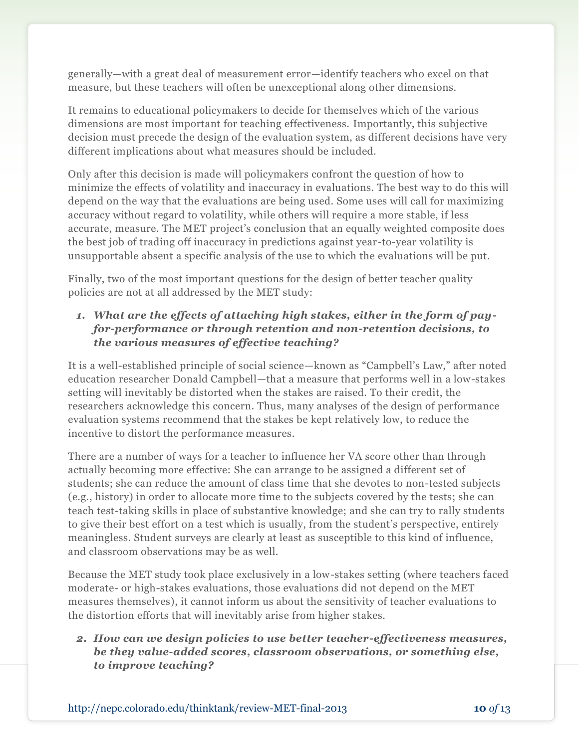generally—with a great deal of measurement error—identify teachers who excel on that measure, but these teachers will often be unexceptional along other dimensions.

It remains to educational policymakers to decide for themselves which of the various dimensions are most important for teaching effectiveness. Importantly, this subjective decision must precede the design of the evaluation system, as different decisions have very different implications about what measures should be included.

Only after this decision is made will policymakers confront the question of how to minimize the effects of volatility and inaccuracy in evaluations. The best way to do this will depend on the way that the evaluations are being used. Some uses will call for maximizing accuracy without regard to volatility, while others will require a more stable, if less accurate, measure. The MET project's conclusion that an equally weighted composite does the best job of trading off inaccuracy in predictions against year-to-year volatility is unsupportable absent a specific analysis of the use to which the evaluations will be put.

Finally, two of the most important questions for the design of better teacher quality policies are not at all addressed by the MET study:

#### *1. What are the effects of attaching high stakes, either in the form of payfor-performance or through retention and non-retention decisions, to the various measures of effective teaching?*

It is a well-established principle of social science—known as "Campbell's Law," after noted education researcher Donald Campbell—that a measure that performs well in a low-stakes setting will inevitably be distorted when the stakes are raised. To their credit, the researchers acknowledge this concern. Thus, many analyses of the design of performance evaluation systems recommend that the stakes be kept relatively low, to reduce the incentive to distort the performance measures.

There are a number of ways for a teacher to influence her VA score other than through actually becoming more effective: She can arrange to be assigned a different set of students; she can reduce the amount of class time that she devotes to non-tested subjects (e.g., history) in order to allocate more time to the subjects covered by the tests; she can teach test-taking skills in place of substantive knowledge; and she can try to rally students to give their best effort on a test which is usually, from the student's perspective, entirely meaningless. Student surveys are clearly at least as susceptible to this kind of influence, and classroom observations may be as well.

Because the MET study took place exclusively in a low-stakes setting (where teachers faced moderate- or high-stakes evaluations, those evaluations did not depend on the MET measures themselves), it cannot inform us about the sensitivity of teacher evaluations to the distortion efforts that will inevitably arise from higher stakes.

#### *2. How can we design policies to use better teacher-effectiveness measures, be they value-added scores, classroom observations, or something else, to improve teaching?*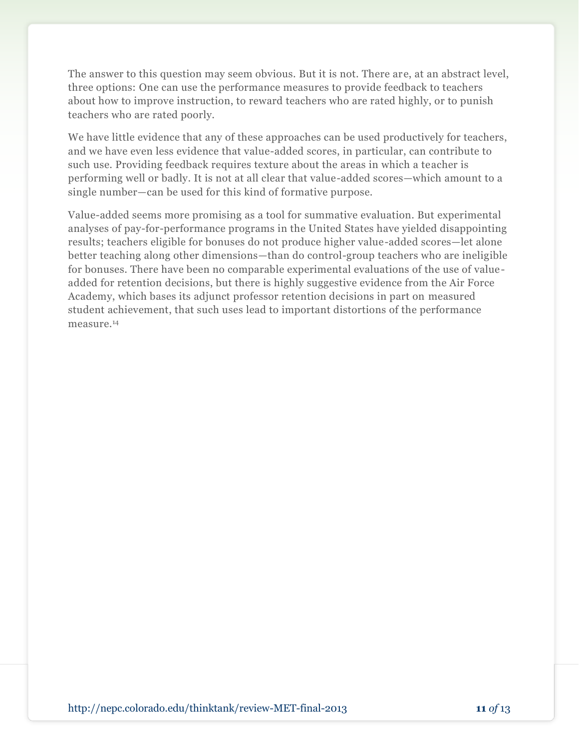The answer to this question may seem obvious. But it is not. There are, at an abstract level, three options: One can use the performance measures to provide feedback to teachers about how to improve instruction, to reward teachers who are rated highly, or to punish teachers who are rated poorly.

We have little evidence that any of these approaches can be used productively for teachers, and we have even less evidence that value-added scores, in particular, can contribute to such use. Providing feedback requires texture about the areas in which a teacher is performing well or badly. It is not at all clear that value-added scores—which amount to a single number—can be used for this kind of formative purpose.

Value-added seems more promising as a tool for summative evaluation. But experimental analyses of pay-for-performance programs in the United States have yielded disappointing results; teachers eligible for bonuses do not produce higher value-added scores—let alone better teaching along other dimensions—than do control-group teachers who are ineligible for bonuses. There have been no comparable experimental evaluations of the use of valueadded for retention decisions, but there is highly suggestive evidence from the Air Force Academy, which bases its adjunct professor retention decisions in part on measured student achievement, that such uses lead to important distortions of the performance measure.14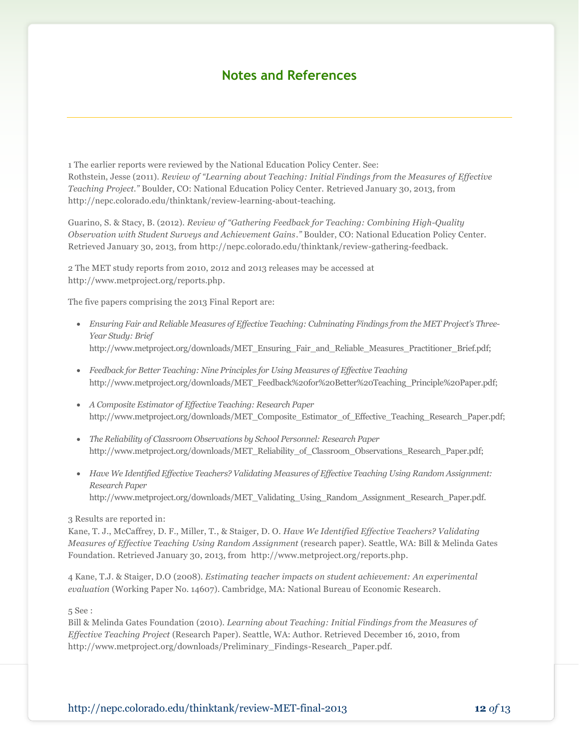#### **Notes and References**

1 The earlier reports were reviewed by the National Education Policy Center. See: Rothstein, Jesse (2011). *Review of "Learning about Teaching: Initial Findings from the Measures of Effective Teaching Project."* Boulder, CO: National Education Policy Center. Retrieved January 30, 2013, from http://nepc.colorado.edu/thinktank/review-learning-about-teaching.

Guarino, S. & Stacy, B. (2012). *Review of "Gathering Feedback for Teaching: Combining High-Quality Observation with Student Surveys and Achievement Gains."* Boulder, CO: National Education Policy Center. Retrieved January 30, 2013, from http://nepc.colorado.edu/thinktank/review-gathering-feedback.

2 The MET study reports from 2010, 2012 and 2013 releases may be accessed at http://www.metproject.org/reports.php.

The five papers comprising the 2013 Final Report are:

- *Ensuring Fair and Reliable Measures of Effective Teaching: Culminating Findings from the MET Project's Three-Year Study: Brief* http://www.metproject.org/downloads/MET\_Ensuring\_Fair\_and\_Reliable\_Measures\_Practitioner\_Brief.pdf;
- *Feedback for Better Teaching: Nine Principles for Using Measures of Effective Teaching* http://www.metproject.org/downloads/MET\_Feedback%20for%20Better%20Teaching\_Principle%20Paper.pdf;
- *A Composite Estimator of Effective Teaching: Research Paper* http://www.metproject.org/downloads/MET\_Composite\_Estimator\_of\_Effective\_Teaching\_Research\_Paper.pdf;
- *The Reliability of Classroom Observations by School Personnel: Research Paper* http://www.metproject.org/downloads/MET\_Reliability\_of\_Classroom\_Observations\_Research\_Paper.pdf;
- *Have We Identified Effective Teachers? Validating Measures of Effective Teaching Using Random Assignment: Research Paper* http://www.metproject.org/downloads/MET\_Validating\_Using\_Random\_Assignment\_Research\_Paper.pdf.

3 Results are reported in:

Kane, T. J., McCaffrey, D. F., Miller, T., & Staiger, D. O. *Have We Identified Effective Teachers? Validating Measures of Effective Teaching Using Random Assignment* (research paper). Seattle, WA: Bill & Melinda Gates Foundation. Retrieved January 30, 2013, from http://www.metproject.org/reports.php.

4 Kane, T.J. & Staiger, D.O (2008). *Estimating teacher impacts on student achievement: An experimental evaluation* (Working Paper No. 14607). Cambridge, MA: National Bureau of Economic Research.

5 See :

Bill & Melinda Gates Foundation (2010). *Learning about Teaching: Initial Findings from the Measures of Effective Teaching Project* (Research Paper). Seattle, WA: Author. Retrieved December 16, 2010, from http://www.metproject.org/downloads/Preliminary\_Findings-Research\_Paper.pdf.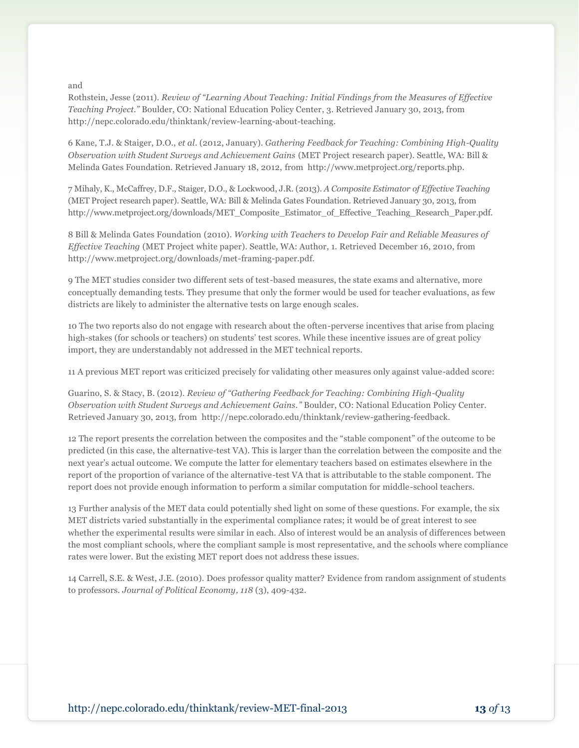and

Rothstein, Jesse (2011). *Review of "Learning About Teaching: Initial Findings from the Measures of Effective Teaching Project."* Boulder, CO: National Education Policy Center, 3. Retrieved January 30, 2013, from http://nepc.colorado.edu/thinktank/review-learning-about-teaching.

6 Kane, T.J. & Staiger, D.O., *et al*. (2012, January). *Gathering Feedback for Teaching: Combining High-Quality Observation with Student Surveys and Achievement Gains* (MET Project research paper). Seattle, WA: Bill & Melinda Gates Foundation. Retrieved January 18, 2012, from http://www.metproject.org/reports.php.

7 Mihaly, K., McCaffrey, D.F., Staiger, D.O., & Lockwood, J.R. (2013). *A Composite Estimator of Effective Teaching* (MET Project research paper). Seattle, WA: Bill & Melinda Gates Foundation. Retrieved January 30, 2013, from http://www.metproject.org/downloads/MET\_Composite\_Estimator\_of\_Effective\_Teaching\_Research\_Paper.pdf.

8 Bill & Melinda Gates Foundation (2010). *Working with Teachers to Develop Fair and Reliable Measures of Effective Teaching* (MET Project white paper). Seattle, WA: Author, 1. Retrieved December 16, 2010, from http://www.metproject.org/downloads/met-framing-paper.pdf.

9 The MET studies consider two different sets of test-based measures, the state exams and alternative, more conceptually demanding tests. They presume that only the former would be used for teacher evaluations, as few districts are likely to administer the alternative tests on large enough scales.

10 The two reports also do not engage with research about the often-perverse incentives that arise from placing high-stakes (for schools or teachers) on students' test scores. While these incentive issues are of great policy import, they are understandably not addressed in the MET technical reports.

11 A previous MET report was criticized precisely for validating other measures only against value-added score:

Guarino, S. & Stacy, B. (2012). *Review of "Gathering Feedback for Teaching: Combining High-Quality Observation with Student Surveys and Achievement Gains."* Boulder, CO: National Education Policy Center. Retrieved January 30, 2013, from http://nepc.colorado.edu/thinktank/review-gathering-feedback.

12 The report presents the correlation between the composites and the "stable component" of the outcome to be predicted (in this case, the alternative-test VA). This is larger than the correlation between the composite and the next year's actual outcome. We compute the latter for elementary teachers based on estimates elsewhere in the report of the proportion of variance of the alternative-test VA that is attributable to the stable component. The report does not provide enough information to perform a similar computation for middle-school teachers.

13 Further analysis of the MET data could potentially shed light on some of these questions. For example, the six MET districts varied substantially in the experimental compliance rates; it would be of great interest to see whether the experimental results were similar in each. Also of interest would be an analysis of differences between the most compliant schools, where the compliant sample is most representative, and the schools where compliance rates were lower. But the existing MET report does not address these issues.

14 Carrell, S.E. & West, J.E. (2010). Does professor quality matter? Evidence from random assignment of students to professors. *Journal of Political Economy, 118* (3), 409-432.